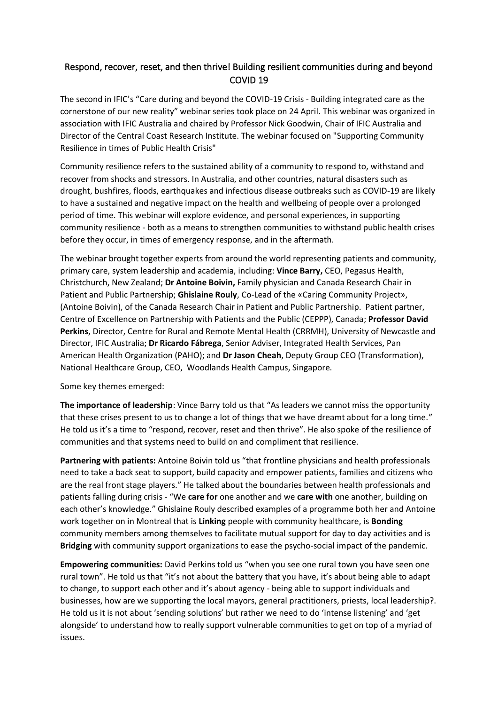## Respond, recover, reset, and then thrive! Building resilient communities during and beyond COVID 19

The second in IFIC's "Care during and beyond the COVID-19 Crisis - Building integrated care as the cornerstone of our new reality" webinar series took place on 24 April. This webinar was organized in association with IFIC Australia and chaired by Professor Nick Goodwin, Chair of IFIC Australia and Director of the Central Coast Research Institute. The webinar focused on "Supporting Community Resilience in times of Public Health Crisis"

Community resilience refers to the sustained ability of a community to respond to, withstand and recover from shocks and stressors. In Australia, and other countries, natural disasters such as drought, bushfires, floods, earthquakes and infectious disease outbreaks such as COVID-19 are likely to have a sustained and negative impact on the health and wellbeing of people over a prolonged period of time. This webinar will explore evidence, and personal experiences, in supporting community resilience - both as a means to strengthen communities to withstand public health crises before they occur, in times of emergency response, and in the aftermath.

The webinar brought together experts from around the world representing patients and community, primary care, system leadership and academia, including: **Vince Barry,** CEO, Pegasus Health, Christchurch, New Zealand; **Dr Antoine Boivin,** Family physician and Canada Research Chair in Patient and Public Partnership; **Ghislaine Rouly**, Co-Lead of the «Caring Community Project», (Antoine Boivin), of the Canada Research Chair in Patient and Public Partnership. Patient partner, Centre of Excellence on Partnership with Patients and the Public (CEPPP), Canada; **Professor David Perkins**, Director, Centre for Rural and Remote Mental Health (CRRMH), University of Newcastle and Director, IFIC Australia; **Dr Ricardo Fábrega**, Senior Adviser, Integrated Health Services, Pan American Health Organization (PAHO); and **Dr Jason Cheah**, Deputy Group CEO (Transformation), National Healthcare Group, CEO, Woodlands Health Campus, Singapore.

Some key themes emerged:

**The importance of leadership**: Vince Barry told us that "As leaders we cannot miss the opportunity that these crises present to us to change a lot of things that we have dreamt about for a long time." He told us it's a time to "respond, recover, reset and then thrive". He also spoke of the resilience of communities and that systems need to build on and compliment that resilience.

**Partnering with patients:** Antoine Boivin told us "that frontline physicians and health professionals need to take a back seat to support, build capacity and empower patients, families and citizens who are the real front stage players." He talked about the boundaries between health professionals and patients falling during crisis - "We **care for** one another and we **care with** one another, building on each other's knowledge." Ghislaine Rouly described examples of a programme both her and Antoine work together on in Montreal that is **Linking** people with community healthcare, is **Bonding** community members among themselves to facilitate mutual support for day to day activities and is **Bridging** with community support organizations to ease the psycho-social impact of the pandemic.

**Empowering communities:** David Perkins told us "when you see one rural town you have seen one rural town". He told us that "it's not about the battery that you have, it's about being able to adapt to change, to support each other and it's about agency - being able to support individuals and businesses, how are we supporting the local mayors, general practitioners, priests, local leadership?. He told us it is not about 'sending solutions' but rather we need to do 'intense listening' and 'get alongside' to understand how to really support vulnerable communities to get on top of a myriad of issues.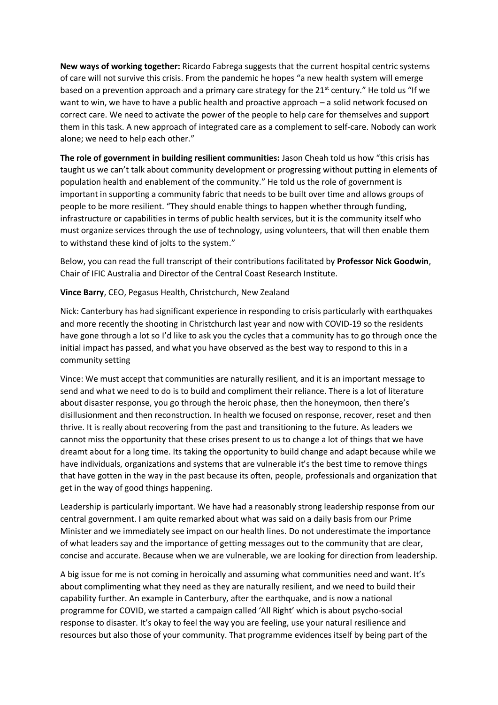**New ways of working together:** Ricardo Fabrega suggests that the current hospital centric systems of care will not survive this crisis. From the pandemic he hopes "a new health system will emerge based on a prevention approach and a primary care strategy for the  $21<sup>st</sup>$  century." He told us "If we want to win, we have to have a public health and proactive approach – a solid network focused on correct care. We need to activate the power of the people to help care for themselves and support them in this task. A new approach of integrated care as a complement to self-care. Nobody can work alone; we need to help each other."

**The role of government in building resilient communities:** Jason Cheah told us how "this crisis has taught us we can't talk about community development or progressing without putting in elements of population health and enablement of the community." He told us the role of government is important in supporting a community fabric that needs to be built over time and allows groups of people to be more resilient. "They should enable things to happen whether through funding, infrastructure or capabilities in terms of public health services, but it is the community itself who must organize services through the use of technology, using volunteers, that will then enable them to withstand these kind of jolts to the system."

Below, you can read the full transcript of their contributions facilitated by **Professor Nick Goodwin**, Chair of IFIC Australia and Director of the Central Coast Research Institute.

**Vince Barry**, CEO, Pegasus Health, Christchurch, New Zealand

Nick: Canterbury has had significant experience in responding to crisis particularly with earthquakes and more recently the shooting in Christchurch last year and now with COVID-19 so the residents have gone through a lot so I'd like to ask you the cycles that a community has to go through once the initial impact has passed, and what you have observed as the best way to respond to this in a community setting

Vince: We must accept that communities are naturally resilient, and it is an important message to send and what we need to do is to build and compliment their reliance. There is a lot of literature about disaster response, you go through the heroic phase, then the honeymoon, then there's disillusionment and then reconstruction. In health we focused on response, recover, reset and then thrive. It is really about recovering from the past and transitioning to the future. As leaders we cannot miss the opportunity that these crises present to us to change a lot of things that we have dreamt about for a long time. Its taking the opportunity to build change and adapt because while we have individuals, organizations and systems that are vulnerable it's the best time to remove things that have gotten in the way in the past because its often, people, professionals and organization that get in the way of good things happening.

Leadership is particularly important. We have had a reasonably strong leadership response from our central government. I am quite remarked about what was said on a daily basis from our Prime Minister and we immediately see impact on our health lines. Do not underestimate the importance of what leaders say and the importance of getting messages out to the community that are clear, concise and accurate. Because when we are vulnerable, we are looking for direction from leadership.

A big issue for me is not coming in heroically and assuming what communities need and want. It's about complimenting what they need as they are naturally resilient, and we need to build their capability further. An example in Canterbury, after the earthquake, and is now a national programme for COVID, we started a campaign called 'All Right' which is about psycho-social response to disaster. It's okay to feel the way you are feeling, use your natural resilience and resources but also those of your community. That programme evidences itself by being part of the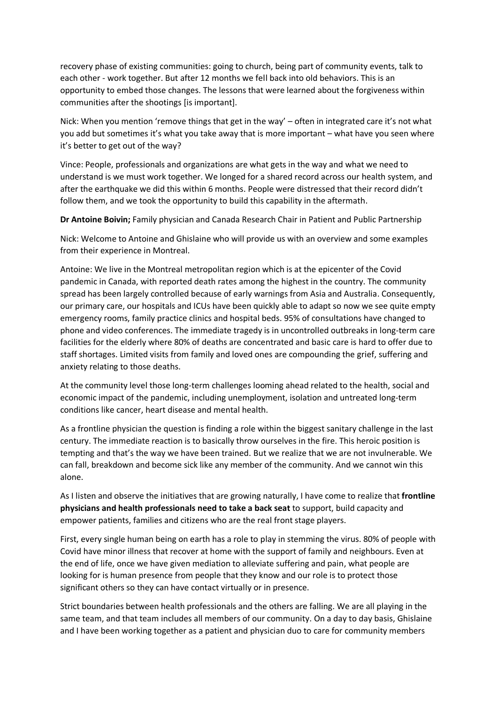recovery phase of existing communities: going to church, being part of community events, talk to each other - work together. But after 12 months we fell back into old behaviors. This is an opportunity to embed those changes. The lessons that were learned about the forgiveness within communities after the shootings [is important].

Nick: When you mention 'remove things that get in the way' – often in integrated care it's not what you add but sometimes it's what you take away that is more important – what have you seen where it's better to get out of the way?

Vince: People, professionals and organizations are what gets in the way and what we need to understand is we must work together. We longed for a shared record across our health system, and after the earthquake we did this within 6 months. People were distressed that their record didn't follow them, and we took the opportunity to build this capability in the aftermath.

**Dr Antoine Boivin;** Family physician and Canada Research Chair in Patient and Public Partnership

Nick: Welcome to Antoine and Ghislaine who will provide us with an overview and some examples from their experience in Montreal.

Antoine: We live in the Montreal metropolitan region which is at the epicenter of the Covid pandemic in Canada, with reported death rates among the highest in the country. The community spread has been largely controlled because of early warnings from Asia and Australia. Consequently, our primary care, our hospitals and ICUs have been quickly able to adapt so now we see quite empty emergency rooms, family practice clinics and hospital beds. 95% of consultations have changed to phone and video conferences. The immediate tragedy is in uncontrolled outbreaks in long-term care facilities for the elderly where 80% of deaths are concentrated and basic care is hard to offer due to staff shortages. Limited visits from family and loved ones are compounding the grief, suffering and anxiety relating to those deaths.

At the community level those long-term challenges looming ahead related to the health, social and economic impact of the pandemic, including unemployment, isolation and untreated long-term conditions like cancer, heart disease and mental health.

As a frontline physician the question is finding a role within the biggest sanitary challenge in the last century. The immediate reaction is to basically throw ourselves in the fire. This heroic position is tempting and that's the way we have been trained. But we realize that we are not invulnerable. We can fall, breakdown and become sick like any member of the community. And we cannot win this alone.

As I listen and observe the initiatives that are growing naturally, I have come to realize that **frontline physicians and health professionals need to take a back seat** to support, build capacity and empower patients, families and citizens who are the real front stage players.

First, every single human being on earth has a role to play in stemming the virus. 80% of people with Covid have minor illness that recover at home with the support of family and neighbours. Even at the end of life, once we have given mediation to alleviate suffering and pain, what people are looking for is human presence from people that they know and our role is to protect those significant others so they can have contact virtually or in presence.

Strict boundaries between health professionals and the others are falling. We are all playing in the same team, and that team includes all members of our community. On a day to day basis, Ghislaine and I have been working together as a patient and physician duo to care for community members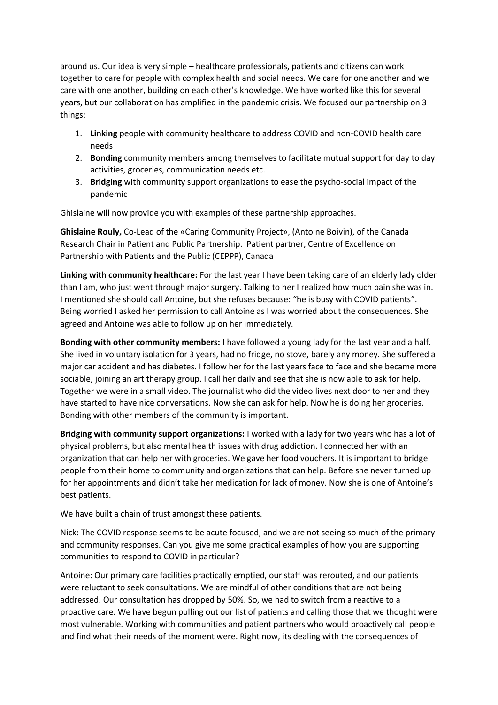around us. Our idea is very simple – healthcare professionals, patients and citizens can work together to care for people with complex health and social needs. We care for one another and we care with one another, building on each other's knowledge. We have worked like this for several years, but our collaboration has amplified in the pandemic crisis. We focused our partnership on 3 things:

- 1. **Linking** people with community healthcare to address COVID and non-COVID health care needs
- 2. **Bonding** community members among themselves to facilitate mutual support for day to day activities, groceries, communication needs etc.
- 3. **Bridging** with community support organizations to ease the psycho-social impact of the pandemic

Ghislaine will now provide you with examples of these partnership approaches.

**Ghislaine Rouly,** Co-Lead of the «Caring Community Project», (Antoine Boivin), of the Canada Research Chair in Patient and Public Partnership. Patient partner, Centre of Excellence on Partnership with Patients and the Public (CEPPP), Canada

**Linking with community healthcare:** For the last year I have been taking care of an elderly lady older than I am, who just went through major surgery. Talking to her I realized how much pain she was in. I mentioned she should call Antoine, but she refuses because: "he is busy with COVID patients". Being worried I asked her permission to call Antoine as I was worried about the consequences. She agreed and Antoine was able to follow up on her immediately.

**Bonding with other community members:** I have followed a young lady for the last year and a half. She lived in voluntary isolation for 3 years, had no fridge, no stove, barely any money. She suffered a major car accident and has diabetes. I follow her for the last years face to face and she became more sociable, joining an art therapy group. I call her daily and see that she is now able to ask for help. Together we were in a small video. The journalist who did the video lives next door to her and they have started to have nice conversations. Now she can ask for help. Now he is doing her groceries. Bonding with other members of the community is important.

**Bridging with community support organizations:** I worked with a lady for two years who has a lot of physical problems, but also mental health issues with drug addiction. I connected her with an organization that can help her with groceries. We gave her food vouchers. It is important to bridge people from their home to community and organizations that can help. Before she never turned up for her appointments and didn't take her medication for lack of money. Now she is one of Antoine's best patients.

We have built a chain of trust amongst these patients.

Nick: The COVID response seems to be acute focused, and we are not seeing so much of the primary and community responses. Can you give me some practical examples of how you are supporting communities to respond to COVID in particular?

Antoine: Our primary care facilities practically emptied, our staff was rerouted, and our patients were reluctant to seek consultations. We are mindful of other conditions that are not being addressed. Our consultation has dropped by 50%. So, we had to switch from a reactive to a proactive care. We have begun pulling out our list of patients and calling those that we thought were most vulnerable. Working with communities and patient partners who would proactively call people and find what their needs of the moment were. Right now, its dealing with the consequences of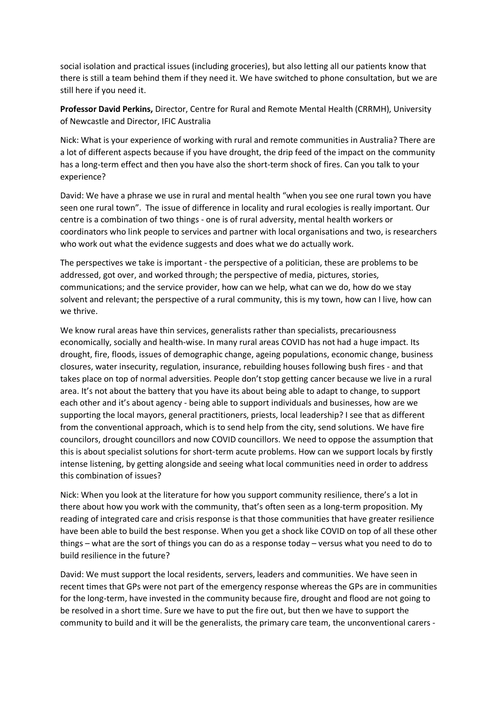social isolation and practical issues (including groceries), but also letting all our patients know that there is still a team behind them if they need it. We have switched to phone consultation, but we are still here if you need it.

**Professor David Perkins,** Director, Centre for Rural and Remote Mental Health (CRRMH), University of Newcastle and Director, IFIC Australia

Nick: What is your experience of working with rural and remote communities in Australia? There are a lot of different aspects because if you have drought, the drip feed of the impact on the community has a long-term effect and then you have also the short-term shock of fires. Can you talk to your experience?

David: We have a phrase we use in rural and mental health "when you see one rural town you have seen one rural town". The issue of difference in locality and rural ecologies is really important. Our centre is a combination of two things - one is of rural adversity, mental health workers or coordinators who link people to services and partner with local organisations and two, is researchers who work out what the evidence suggests and does what we do actually work.

The perspectives we take is important - the perspective of a politician, these are problems to be addressed, got over, and worked through; the perspective of media, pictures, stories, communications; and the service provider, how can we help, what can we do, how do we stay solvent and relevant; the perspective of a rural community, this is my town, how can I live, how can we thrive.

We know rural areas have thin services, generalists rather than specialists, precariousness economically, socially and health-wise. In many rural areas COVID has not had a huge impact. Its drought, fire, floods, issues of demographic change, ageing populations, economic change, business closures, water insecurity, regulation, insurance, rebuilding houses following bush fires - and that takes place on top of normal adversities. People don't stop getting cancer because we live in a rural area. It's not about the battery that you have its about being able to adapt to change, to support each other and it's about agency - being able to support individuals and businesses, how are we supporting the local mayors, general practitioners, priests, local leadership? I see that as different from the conventional approach, which is to send help from the city, send solutions. We have fire councilors, drought councillors and now COVID councillors. We need to oppose the assumption that this is about specialist solutions for short-term acute problems. How can we support locals by firstly intense listening, by getting alongside and seeing what local communities need in order to address this combination of issues?

Nick: When you look at the literature for how you support community resilience, there's a lot in there about how you work with the community, that's often seen as a long-term proposition. My reading of integrated care and crisis response is that those communities that have greater resilience have been able to build the best response. When you get a shock like COVID on top of all these other things – what are the sort of things you can do as a response today – versus what you need to do to build resilience in the future?

David: We must support the local residents, servers, leaders and communities. We have seen in recent times that GPs were not part of the emergency response whereas the GPs are in communities for the long-term, have invested in the community because fire, drought and flood are not going to be resolved in a short time. Sure we have to put the fire out, but then we have to support the community to build and it will be the generalists, the primary care team, the unconventional carers -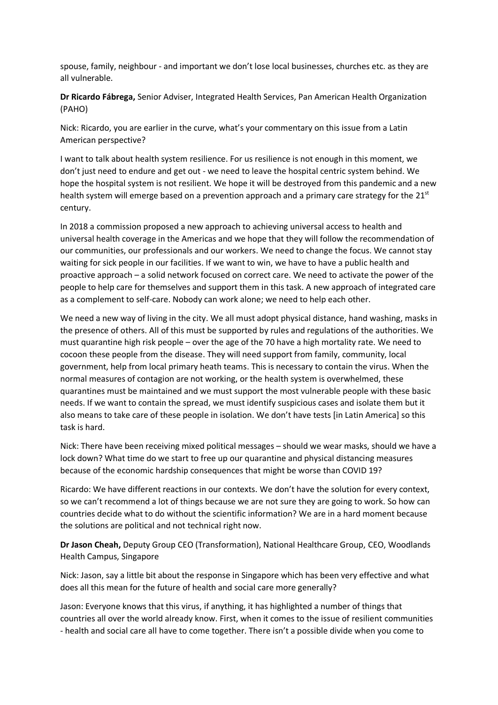spouse, family, neighbour - and important we don't lose local businesses, churches etc. as they are all vulnerable.

**Dr Ricardo Fábrega,** Senior Adviser, Integrated Health Services, Pan American Health Organization (PAHO)

Nick: Ricardo, you are earlier in the curve, what's your commentary on this issue from a Latin American perspective?

I want to talk about health system resilience. For us resilience is not enough in this moment, we don't just need to endure and get out - we need to leave the hospital centric system behind. We hope the hospital system is not resilient. We hope it will be destroyed from this pandemic and a new health system will emerge based on a prevention approach and a primary care strategy for the 21<sup>st</sup> century.

In 2018 a commission proposed a new approach to achieving universal access to health and universal health coverage in the Americas and we hope that they will follow the recommendation of our communities, our professionals and our workers. We need to change the focus. We cannot stay waiting for sick people in our facilities. If we want to win, we have to have a public health and proactive approach – a solid network focused on correct care. We need to activate the power of the people to help care for themselves and support them in this task. A new approach of integrated care as a complement to self-care. Nobody can work alone; we need to help each other.

We need a new way of living in the city. We all must adopt physical distance, hand washing, masks in the presence of others. All of this must be supported by rules and regulations of the authorities. We must quarantine high risk people – over the age of the 70 have a high mortality rate. We need to cocoon these people from the disease. They will need support from family, community, local government, help from local primary heath teams. This is necessary to contain the virus. When the normal measures of contagion are not working, or the health system is overwhelmed, these quarantines must be maintained and we must support the most vulnerable people with these basic needs. If we want to contain the spread, we must identify suspicious cases and isolate them but it also means to take care of these people in isolation. We don't have tests [in Latin America] so this task is hard.

Nick: There have been receiving mixed political messages – should we wear masks, should we have a lock down? What time do we start to free up our quarantine and physical distancing measures because of the economic hardship consequences that might be worse than COVID 19?

Ricardo: We have different reactions in our contexts. We don't have the solution for every context, so we can't recommend a lot of things because we are not sure they are going to work. So how can countries decide what to do without the scientific information? We are in a hard moment because the solutions are political and not technical right now.

**Dr Jason Cheah,** Deputy Group CEO (Transformation), National Healthcare Group, CEO, Woodlands Health Campus, Singapore

Nick: Jason, say a little bit about the response in Singapore which has been very effective and what does all this mean for the future of health and social care more generally?

Jason: Everyone knows that this virus, if anything, it has highlighted a number of things that countries all over the world already know. First, when it comes to the issue of resilient communities - health and social care all have to come together. There isn't a possible divide when you come to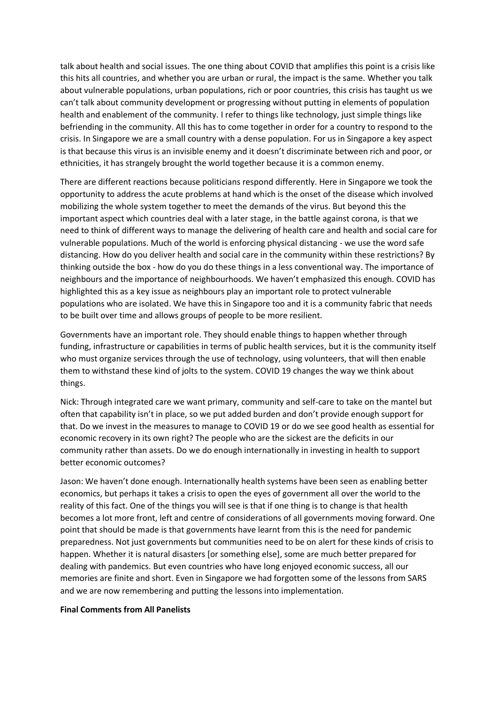talk about health and social issues. The one thing about COVID that amplifies this point is a crisis like this hits all countries, and whether you are urban or rural, the impact is the same. Whether you talk about vulnerable populations, urban populations, rich or poor countries, this crisis has taught us we can't talk about community development or progressing without putting in elements of population health and enablement of the community. I refer to things like technology, just simple things like befriending in the community. All this has to come together in order for a country to respond to the crisis. In Singapore we are a small country with a dense population. For us in Singapore a key aspect is that because this virus is an invisible enemy and it doesn't discriminate between rich and poor, or ethnicities, it has strangely brought the world together because it is a common enemy.

There are different reactions because politicians respond differently. Here in Singapore we took the opportunity to address the acute problems at hand which is the onset of the disease which involved mobilizing the whole system together to meet the demands of the virus. But beyond this the important aspect which countries deal with a later stage, in the battle against corona, is that we need to think of different ways to manage the delivering of health care and health and social care for vulnerable populations. Much of the world is enforcing physical distancing - we use the word safe distancing. How do you deliver health and social care in the community within these restrictions? By thinking outside the box - how do you do these things in a less conventional way. The importance of neighbours and the importance of neighbourhoods. We haven't emphasized this enough. COVID has highlighted this as a key issue as neighbours play an important role to protect vulnerable populations who are isolated. We have this in Singapore too and it is a community fabric that needs to be built over time and allows groups of people to be more resilient.

Governments have an important role. They should enable things to happen whether through funding, infrastructure or capabilities in terms of public health services, but it is the community itself who must organize services through the use of technology, using volunteers, that will then enable them to withstand these kind of jolts to the system. COVID 19 changes the way we think about things.

Nick: Through integrated care we want primary, community and self-care to take on the mantel but often that capability isn't in place, so we put added burden and don't provide enough support for that. Do we invest in the measures to manage to COVID 19 or do we see good health as essential for economic recovery in its own right? The people who are the sickest are the deficits in our community rather than assets. Do we do enough internationally in investing in health to support better economic outcomes?

Jason: We haven't done enough. Internationally health systems have been seen as enabling better economics, but perhaps it takes a crisis to open the eyes of government all over the world to the reality of this fact. One of the things you will see is that if one thing is to change is that health becomes a lot more front, left and centre of considerations of all governments moving forward. One point that should be made is that governments have learnt from this is the need for pandemic preparedness. Not just governments but communities need to be on alert for these kinds of crisis to happen. Whether it is natural disasters [or something else], some are much better prepared for dealing with pandemics. But even countries who have long enjoyed economic success, all our memories are finite and short. Even in Singapore we had forgotten some of the lessons from SARS and we are now remembering and putting the lessons into implementation.

## **Final Comments from All Panelists**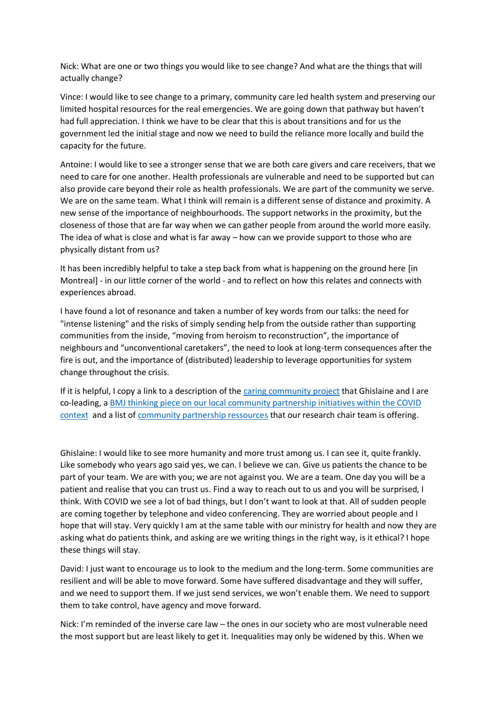Nick: What are one or two things you would like to see change? And what are the things that will actually change?

Vince: I would like to see change to a primary, community care led health system and preserving our limited hospital resources for the real emergencies. We are going down that pathway but haven't had full appreciation. I think we have to be clear that this is about transitions and for us the government led the initial stage and now we need to build the reliance more locally and build the capacity for the future.

Antoine: I would like to see a stronger sense that we are both care givers and care receivers, that we need to care for one another. Health professionals are vulnerable and need to be supported but can also provide care beyond their role as health professionals. We are part of the community we serve. We are on the same team. What I think will remain is a different sense of distance and proximity. A new sense of the importance of neighbourhoods. The support networks in the proximity, but the closeness of those that are far way when we can gather people from around the world more easily. The idea of what is close and what is far away – how can we provide support to those who are physically distant from us?

It has been incredibly helpful to take a step back from what is happening on the ground here [in Montreal] - in our little corner of the world - and to reflect on how this relates and connects with experiences abroad.

I have found a lot of resonance and taken a number of key words from our talks: the need for "intense listening" and the risks of simply sending help from the outside rather than supporting communities from the inside, "moving from heroism to reconstruction", the importance of neighbours and "unconventional caretakers", the need to look at long-term consequences after the fire is out, and the importance of (distributed) leadership to leverage opportunities for system change throughout the crisis.

If it is helpful, I copy a link to a description of the [caring community project](https://imsva91-ctp.trendmicro.com/wis/clicktime/v1/query?url=https%3a%2f%2fblogs.bmj.com%2fbmj%2f2020%2f02%2f28%2fcommunity%2dinitiative%2dco%2dled%2dwith%2dpatients%2dcould%2dimprove%2dcare%2dfor%2dpeople%2dwith%2dcomplex%2dhealth%2dand%2dsocial%2dneeds%2f&umid=9CF95251-A40E-2E05-9041-9B591EC09EA0&auth=6e3fe59570831a389716849e93b5d483c90c3fe4-ffd79e177d9308f1a4a07a96dd6da28d80c57351) that Ghislaine and I are co-leading, a [BMJ thinking piece on our local community partnership initiatives within the COVID](https://imsva91-ctp.trendmicro.com/wis/clicktime/v1/query?url=https%3a%2f%2fblogs.bmj.com%2fbmj%2f2020%2f04%2f07%2fcovid%2d19%2da%2dpivotal%2dmoment%2din%2dcommunity%2dcare%2f&umid=9CF95251-A40E-2E05-9041-9B591EC09EA0&auth=6e3fe59570831a389716849e93b5d483c90c3fe4-5c2536ca1c9b12c1af134781b607c3af14fa29d7)  [context](https://imsva91-ctp.trendmicro.com/wis/clicktime/v1/query?url=https%3a%2f%2fblogs.bmj.com%2fbmj%2f2020%2f04%2f07%2fcovid%2d19%2da%2dpivotal%2dmoment%2din%2dcommunity%2dcare%2f&umid=9CF95251-A40E-2E05-9041-9B591EC09EA0&auth=6e3fe59570831a389716849e93b5d483c90c3fe4-5c2536ca1c9b12c1af134781b607c3af14fa29d7) and a list of [community partnership ressources](https://imsva91-ctp.trendmicro.com/wis/clicktime/v1/query?url=http%3a%2f%2fwww.chairepartenariat.ca%2f%3flang%3den&umid=9CF95251-A40E-2E05-9041-9B591EC09EA0&auth=6e3fe59570831a389716849e93b5d483c90c3fe4-de0b42e32c1a24eb23f7eb3b1d567838bc98e536) that our research chair team is offering.

Ghislaine: I would like to see more humanity and more trust among us. I can see it, quite frankly. Like somebody who years ago said yes, we can. I believe we can. Give us patients the chance to be part of your team. We are with you; we are not against you. We are a team. One day you will be a patient and realise that you can trust us. Find a way to reach out to us and you will be surprised, I think. With COVID we see a lot of bad things, but I don't want to look at that. All of sudden people are coming together by telephone and video conferencing. They are worried about people and I hope that will stay. Very quickly I am at the same table with our ministry for health and now they are asking what do patients think, and asking are we writing things in the right way, is it ethical? I hope these things will stay.

David: I just want to encourage us to look to the medium and the long-term. Some communities are resilient and will be able to move forward. Some have suffered disadvantage and they will suffer, and we need to support them. If we just send services, we won't enable them. We need to support them to take control, have agency and move forward.

Nick: I'm reminded of the inverse care law – the ones in our society who are most vulnerable need the most support but are least likely to get it. Inequalities may only be widened by this. When we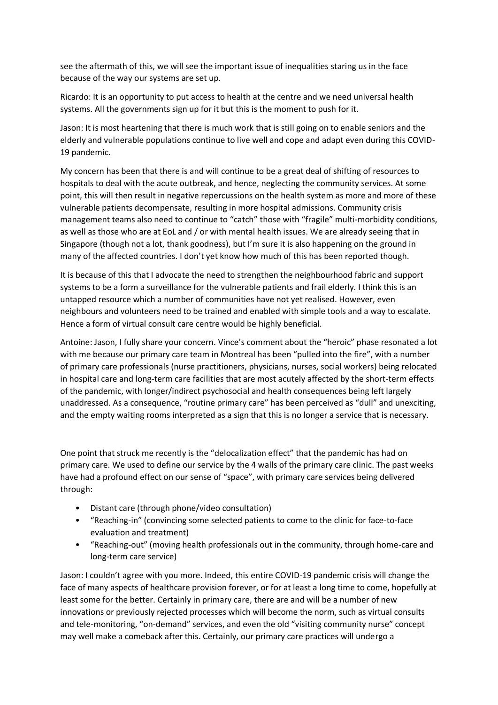see the aftermath of this, we will see the important issue of inequalities staring us in the face because of the way our systems are set up.

Ricardo: It is an opportunity to put access to health at the centre and we need universal health systems. All the governments sign up for it but this is the moment to push for it.

Jason: It is most heartening that there is much work that is still going on to enable seniors and the elderly and vulnerable populations continue to live well and cope and adapt even during this COVID-19 pandemic.

My concern has been that there is and will continue to be a great deal of shifting of resources to hospitals to deal with the acute outbreak, and hence, neglecting the community services. At some point, this will then result in negative repercussions on the health system as more and more of these vulnerable patients decompensate, resulting in more hospital admissions. Community crisis management teams also need to continue to "catch" those with "fragile" multi-morbidity conditions, as well as those who are at EoL and / or with mental health issues. We are already seeing that in Singapore (though not a lot, thank goodness), but I'm sure it is also happening on the ground in many of the affected countries. I don't yet know how much of this has been reported though.

It is because of this that I advocate the need to strengthen the neighbourhood fabric and support systems to be a form a surveillance for the vulnerable patients and frail elderly. I think this is an untapped resource which a number of communities have not yet realised. However, even neighbours and volunteers need to be trained and enabled with simple tools and a way to escalate. Hence a form of virtual consult care centre would be highly beneficial.

Antoine: Jason, I fully share your concern. Vince's comment about the "heroic" phase resonated a lot with me because our primary care team in Montreal has been "pulled into the fire", with a number of primary care professionals (nurse practitioners, physicians, nurses, social workers) being relocated in hospital care and long-term care facilities that are most acutely affected by the short-term effects of the pandemic, with longer/indirect psychosocial and health consequences being left largely unaddressed. As a consequence, "routine primary care" has been perceived as "dull" and unexciting, and the empty waiting rooms interpreted as a sign that this is no longer a service that is necessary.

One point that struck me recently is the "delocalization effect" that the pandemic has had on primary care. We used to define our service by the 4 walls of the primary care clinic. The past weeks have had a profound effect on our sense of "space", with primary care services being delivered through:

- Distant care (through phone/video consultation)
- "Reaching-in" (convincing some selected patients to come to the clinic for face-to-face evaluation and treatment)
- "Reaching-out" (moving health professionals out in the community, through home-care and long-term care service)

Jason: I couldn't agree with you more. Indeed, this entire COVID-19 pandemic crisis will change the face of many aspects of healthcare provision forever, or for at least a long time to come, hopefully at least some for the better. Certainly in primary care, there are and will be a number of new innovations or previously rejected processes which will become the norm, such as virtual consults and tele-monitoring, "on-demand" services, and even the old "visiting community nurse" concept may well make a comeback after this. Certainly, our primary care practices will undergo a